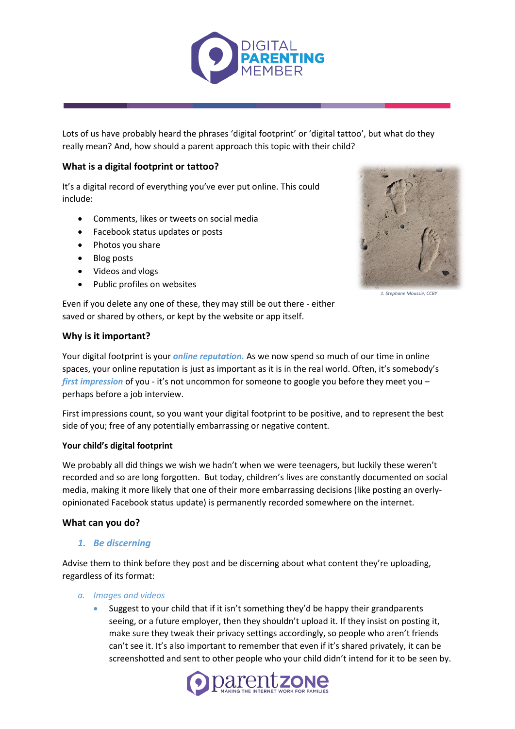

Lots of us have probably heard the phrases 'digital footprint' or 'digital tattoo', but what do they really mean? And, how should a parent approach this topic with their child?

# **What is a digital footprint or tattoo?**

It's a digital record of everything you've ever put online. This could include:

- Comments, likes or tweets on social media
- Facebook status updates or posts
- Photos you share
- Blog posts
- Videos and vlogs
- Public profiles on websites



1. Stephane Moussie, CCB

Even if you delete any one of these, they may still be out there - either saved or shared by others, or kept by the website or app itself.

# **Why is it important?**

Your digital footprint is your *online reputation.* As we now spend so much of our time in online spaces, your online reputation is just as important as it is in the real world. Often, it's somebody's *first impression* of you - it's not uncommon for someone to google you before they meet you – perhaps before a job interview.

First impressions count, so you want your digital footprint to be positive, and to represent the best side of you; free of any potentially embarrassing or negative content.

### **Your child's digital footprint**

We probably all did things we wish we hadn't when we were teenagers, but luckily these weren't recorded and so are long forgotten. But today, children's lives are constantly documented on social media, making it more likely that one of their more embarrassing decisions (like posting an overlyopinionated Facebook status update) is permanently recorded somewhere on the internet.

### **What can you do?**

### *1. Be discerning*

Advise them to think before they post and be discerning about what content they're uploading, regardless of its format:

#### *a. Images and videos*

 Suggest to your child that if it isn't something they'd be happy their grandparents seeing, or a future employer, then they shouldn't upload it. If they insist on posting it, make sure they tweak their privacy settings accordingly, so people who aren't friends can't see it. It's also important to remember that even if it's shared privately, it can be screenshotted and sent to other people who your child didn't intend for it to be seen by.